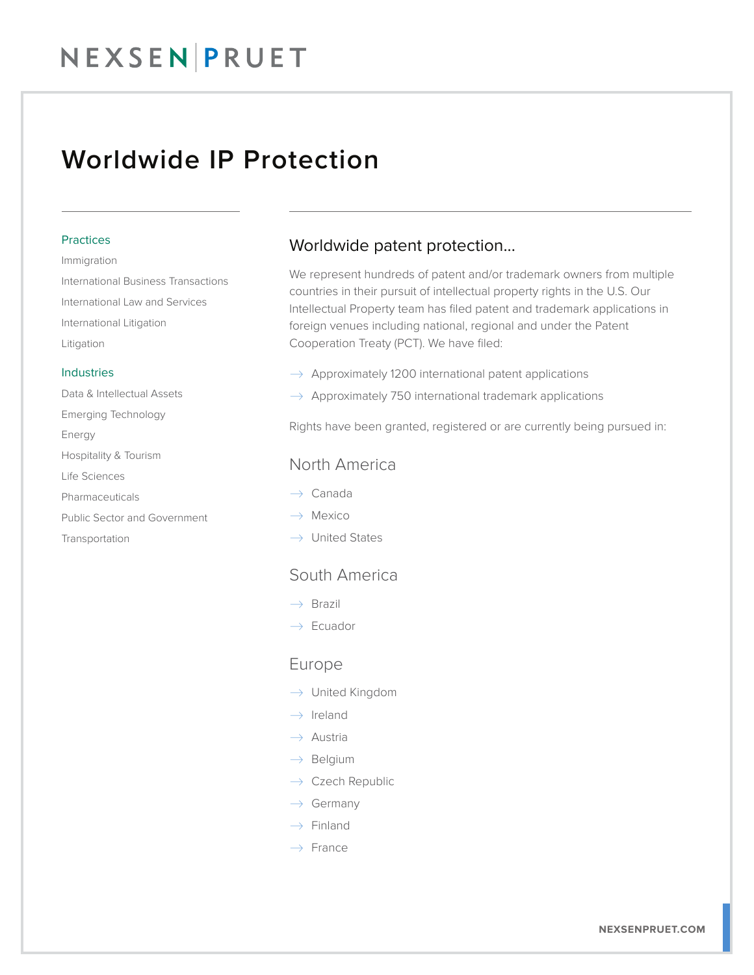## NEXSEN PRUET

### Worldwide IP Protection

#### Practices

Immigration International Business Transactions International Law and Services International Litigation Litigation

#### Industries

Data & Intellectual Assets Emerging Technology Energy Hospitality & Tourism Life Sciences Pharmaceuticals Public Sector and Government Transportation

### Worldwide patent protection...

We represent hundreds of patent and/or trademark owners from multiple countries in their pursuit of intellectual property rights in the U.S. Our Intellectual Property team has filed patent and trademark applications in foreign venues including national, regional and under the Patent Cooperation Treaty (PCT). We have filed:

- $\rightarrow$  Approximately 1200 international patent applications
- $\rightarrow$  Approximately 750 international trademark applications

Rights have been granted, registered or are currently being pursued in:

#### North America

- $\rightarrow$  Canada
- $\rightarrow$  Mexico
- $\rightarrow$  United States

### South America

- $\rightarrow$  Brazil
- $\rightarrow$  Ecuador

#### Europe

- $\rightarrow$  United Kingdom
- $\rightarrow$  Ireland
- $\rightarrow$  Austria
- $\rightarrow$  Belgium
- $\rightarrow$  Czech Republic
- $\rightarrow$  Germany
- $\rightarrow$  Finland
- $\rightarrow$  France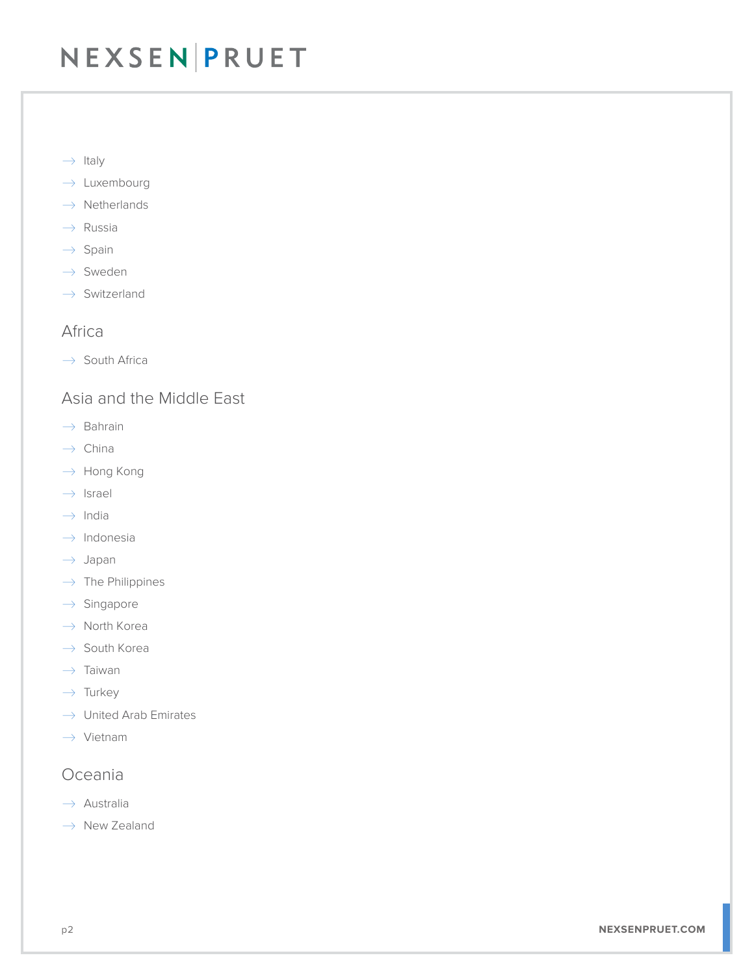## NEXSEN PRUET

- $\rightarrow$  Italy
- $\rightarrow$  Luxembourg
- $\rightarrow$  Netherlands
- $\rightarrow$  Russia
- $\rightarrow$  Spain
- $\rightarrow$  Sweden
- $\rightarrow$  Switzerland

### Africa

 $\rightarrow$  South Africa

### Asia and the Middle East

- $\rightarrow$  Bahrain
- $\rightarrow$  China
- $\rightarrow$  Hong Kong
- $\rightarrow$  Israel
- $\rightarrow$  India
- $\rightarrow$  Indonesia
- $\rightarrow$  Japan
- $\rightarrow$  The Philippines
- $\rightarrow$  Singapore
- $\rightarrow$  North Korea
- $\rightarrow$  South Korea
- $\rightarrow$  Taiwan
- $\rightarrow$  Turkey
- $\rightarrow$  United Arab Emirates
- $\rightarrow$  Vietnam

#### Oceania

- $\rightarrow$  Australia
- $\rightarrow$  New Zealand